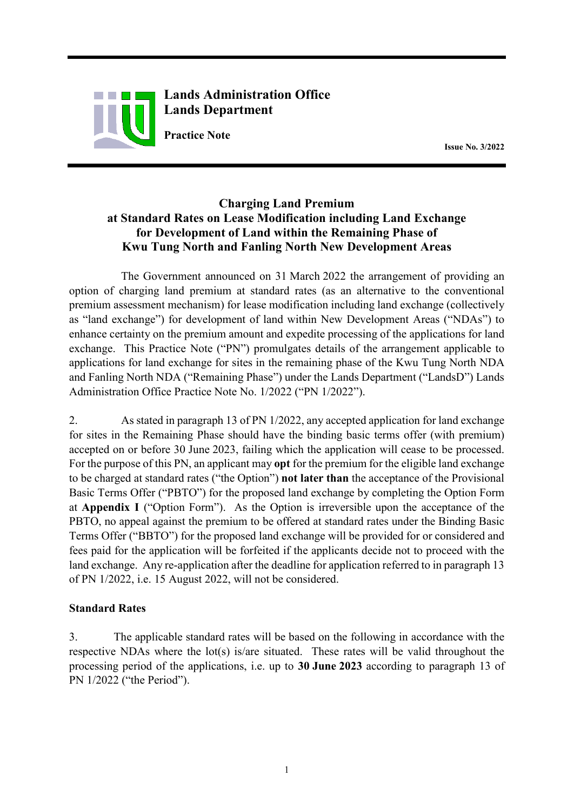

**Lands Administration Office Lands Department**

**Practice Note**<br>Issue No. 3/2022

# **Charging Land Premium at Standard Rates on Lease Modification including Land Exchange for Development of Land within the Remaining Phase of Kwu Tung North and Fanling North New Development Areas**

The Government announced on 31 March 2022 the arrangement of providing an option of charging land premium at standard rates (as an alternative to the conventional premium assessment mechanism) for lease modification including land exchange (collectively as "land exchange") for development of land within New Development Areas ("NDAs") to enhance certainty on the premium amount and expedite processing of the applications for land exchange. This Practice Note ("PN") promulgates details of the arrangement applicable to applications for land exchange for sites in the remaining phase of the Kwu Tung North NDA and Fanling North NDA ("Remaining Phase") under the Lands Department ("LandsD") Lands Administration Office Practice Note No. 1/2022 ("PN 1/2022").

2. As stated in paragraph 13 of PN 1/2022, any accepted application for land exchange for sites in the Remaining Phase should have the binding basic terms offer (with premium) accepted on or before 30 June 2023, failing which the application will cease to be processed. For the purpose of this PN, an applicant may **opt** for the premium for the eligible land exchange to be charged at standard rates ("the Option") **not later than** the acceptance of the Provisional Basic Terms Offer ("PBTO") for the proposed land exchange by completing the Option Form at **Appendix I** ("Option Form"). As the Option is irreversible upon the acceptance of the PBTO, no appeal against the premium to be offered at standard rates under the Binding Basic Terms Offer ("BBTO") for the proposed land exchange will be provided for or considered and fees paid for the application will be forfeited if the applicants decide not to proceed with the land exchange. Any re-application after the deadline for application referred to in paragraph 13 of PN 1/2022, i.e. 15 August 2022, will not be considered.

## **Standard Rates**

3. The applicable standard rates will be based on the following in accordance with the respective NDAs where the lot(s) is/are situated. These rates will be valid throughout the processing period of the applications, i.e. up to **30 June 2023** according to paragraph 13 of PN 1/2022 ("the Period").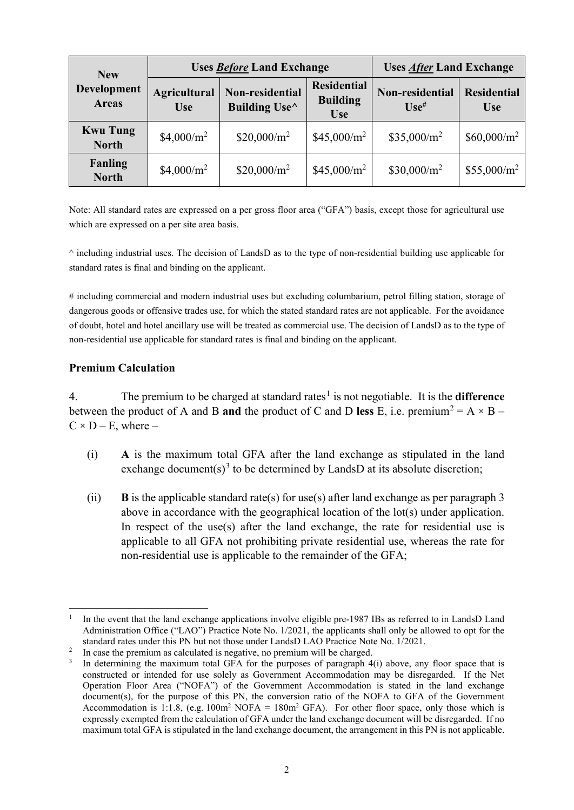| <b>New</b><br>Development<br><b>Areas</b> | <b>Uses Before Land Exchange</b>  |                                  |                                                     | <b>Uses After Land Exchange</b>        |                                  |
|-------------------------------------------|-----------------------------------|----------------------------------|-----------------------------------------------------|----------------------------------------|----------------------------------|
|                                           | <b>Agricultural</b><br><b>Use</b> | Non-residential<br>Building Use^ | <b>Residential</b><br><b>Building</b><br><b>Use</b> | Non-residential<br>$\mathbf{Use}^{\#}$ | <b>Residential</b><br><b>Use</b> |
| <b>Kwu Tung</b><br><b>North</b>           | \$4,000/ $m^2$                    | $$20,000/m^2$                    | $$45,000/m^2$                                       | \$35,000/m <sup>2</sup>                | $$60,000/m^2$                    |
| <b>Fanling</b><br><b>North</b>            | \$4,000/ $m^2$                    | $$20,000/m^2$                    | $$45,000/m^2$                                       | $$30,000/m^2$                          | $$55,000/m^2$                    |

Note: All standard rates are expressed on a per gross floor area ("GFA") basis, except those for agricultural use which are expressed on a per site area basis.

 $\land$  including industrial uses. The decision of LandsD as to the type of non-residential building use applicable for standard rates is final and binding on the applicant.

# including commercial and modern industrial uses but excluding columbarium, petrol filling station, storage of dangerous goods or offensive trades use, for which the stated standard rates are not applicable. For the avoidance of doubt, hotel and hotel ancillary use will be treated as commercial use. The decision of LandsD as to the type of non-residential use applicable for standard rates is final and binding on the applicant.

### **Premium Calculation**

4. The premium to be charged at standard rates<sup>[1](#page-1-0)</sup> is not negotiable. It is the **difference** between the product of A and B **and** the product of C and D less E, i.e. premium<sup>[2](#page-1-1)</sup> = A  $\times$  B –  $C \times D - E$ , where –

- (i) **A** is the maximum total GFA after the land exchange as stipulated in the land exchange document(s)<sup>[3](#page-1-2)</sup> to be determined by LandsD at its absolute discretion;
- (ii) **B** is the applicable standard rate(s) for use(s) after land exchange as per paragraph 3 above in accordance with the geographical location of the lot(s) under application. In respect of the use(s) after the land exchange, the rate for residential use is applicable to all GFA not prohibiting private residential use, whereas the rate for non-residential use is applicable to the remainder of the GFA;

<span id="page-1-0"></span>In the event that the land exchange applications involve eligible pre-1987 IBs as referred to in LandsD Land Administration Office ("LAO") Practice Note No. 1/2021, the applicants shall only be allowed to opt for the standard rates under this PN but not those under LandsD LAO Practice Note No. 1/2021.

<span id="page-1-1"></span><sup>&</sup>lt;sup>2</sup> In case the premium as calculated is negative, no premium will be charged.

<span id="page-1-2"></span>In determining the maximum total GFA for the purposes of paragraph 4(i) above, any floor space that is constructed or intended for use solely as Government Accommodation may be disregarded. If the Net Operation Floor Area ("NOFA") of the Government Accommodation is stated in the land exchange document(s), for the purpose of this PN, the conversion ratio of the NOFA to GFA of the Government Accommodation is 1:1.8, (e.g.  $100m^2$  NOFA =  $180m^2$  GFA). For other floor space, only those which is expressly exempted from the calculation of GFA under the land exchange document will be disregarded. If no maximum total GFA is stipulated in the land exchange document, the arrangement in this PN is not applicable.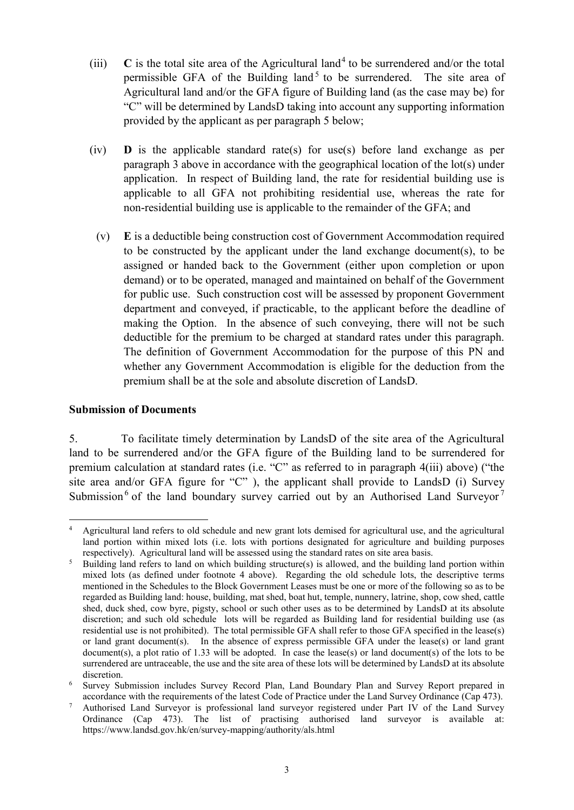- (iii)  $\bf{C}$  is the total site area of the Agricultural land<sup>[4](#page-2-0)</sup> to be surrendered and/or the total permissible GFA of the Building land<sup>[5](#page-2-1)</sup> to be surrendered. The site area of Agricultural land and/or the GFA figure of Building land (as the case may be) for "C" will be determined by LandsD taking into account any supporting information provided by the applicant as per paragraph 5 below;
- (iv) **D** is the applicable standard rate(s) for use(s) before land exchange as per paragraph 3 above in accordance with the geographical location of the lot(s) under application. In respect of Building land, the rate for residential building use is applicable to all GFA not prohibiting residential use, whereas the rate for non-residential building use is applicable to the remainder of the GFA; and
	- (v) **E** is a deductible being construction cost of Government Accommodation required to be constructed by the applicant under the land exchange document(s), to be assigned or handed back to the Government (either upon completion or upon demand) or to be operated, managed and maintained on behalf of the Government for public use. Such construction cost will be assessed by proponent Government department and conveyed, if practicable, to the applicant before the deadline of making the Option. In the absence of such conveying, there will not be such deductible for the premium to be charged at standard rates under this paragraph. The definition of Government Accommodation for the purpose of this PN and whether any Government Accommodation is eligible for the deduction from the premium shall be at the sole and absolute discretion of LandsD.

#### **Submission of Documents**

5. To facilitate timely determination by LandsD of the site area of the Agricultural land to be surrendered and/or the GFA figure of the Building land to be surrendered for premium calculation at standard rates (i.e. "C" as referred to in paragraph 4(iii) above) ("the site area and/or GFA figure for "C" ), the applicant shall provide to LandsD (i) Survey Submission<sup>[6](#page-2-2)</sup> of the land boundary survey carried out by an Authorised Land Surveyor<sup>[7](#page-2-3)</sup>

<span id="page-2-0"></span> $\frac{1}{4}$  Agricultural land refers to old schedule and new grant lots demised for agricultural use, and the agricultural land portion within mixed lots (i.e. lots with portions designated for agriculture and building purposes respectively). Agricultural land will be assessed using the standard rates on site area basis.

<span id="page-2-1"></span><sup>&</sup>lt;sup>5</sup> Building land refers to land on which building structure(s) is allowed, and the building land portion within mixed lots (as defined under footnote 4 above). Regarding the old schedule lots, the descriptive terms mentioned in the Schedules to the Block Government Leases must be one or more of the following so as to be regarded as Building land: house, building, mat shed, boat hut, temple, nunnery, latrine, shop, cow shed, cattle shed, duck shed, cow byre, pigsty, school or such other uses as to be determined by LandsD at its absolute discretion; and such old schedule lots will be regarded as Building land for residential building use (as residential use is not prohibited). The total permissible GFA shall refer to those GFA specified in the lease(s) or land grant document(s). In the absence of express permissible GFA under the lease(s) or land grant document(s), a plot ratio of 1.33 will be adopted. In case the lease(s) or land document(s) of the lots to be surrendered are untraceable, the use and the site area of these lots will be determined by LandsD at its absolute

<span id="page-2-2"></span>discretion.<br><sup>6</sup> Survey Submission includes Survey Record Plan, Land Boundary Plan and Survey Report prepared in accordance with the requirements of the latest Code of Practice under the Land Survey Ordinance (Cap 473).

<span id="page-2-3"></span><sup>7</sup> Authorised Land Surveyor is professional land surveyor registered under Part IV of the Land Survey Ordinance (Cap 473). The list of practising authorised land surveyor is available at: https://www.landsd.gov.hk/en/survey-mapping/authority/als.html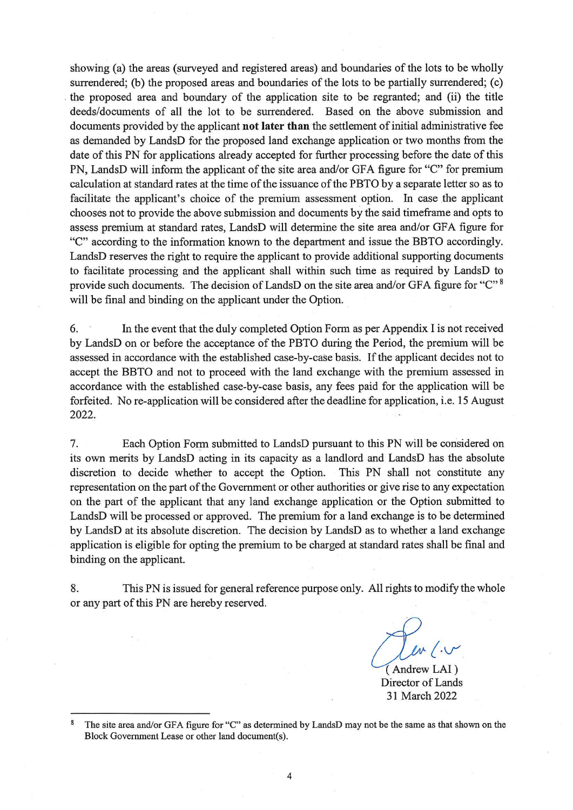showing (a) the areas (surveyed and registered areas) and boundaries of the lots to be wholly surrendered; (b) the proposed areas and boundaries of the lots to be partially surrendered; (c) the proposed area and boundary of the application site to be regranted; and (ii) the title deeds/documents of all the lot to be surrendered. Based on the above submission and documents provided by the applicant not later than the settlement of initial administrative fee as demanded by LandsD for the proposed land exchange application or two months from the date of this PN for applications already accepted for further processing before the date of this PN, LandsD will inform the applicant of the site area and/or GFA figure for "C" for premium calculation at standard rates at the time of the issuance of the PBTO by a separate letter so as to facilitate the applicant's choice of the premium assessment option. In case the applicant chooses not to provide the above submission and documents by the said timeframe and opts to assess premium at standard rates, LandsD will determine the site area and/or GFA figure for "C" according to the information known to the department and issue the BBTO accordingly. LandsD reserves the right to require the applicant to provide additional supporting documents to facilitate processing and the applicant shall within such time as required by LandsD to provide such documents. The decision of LandsD on the site area and/or GFA figure for "C"<sup>8</sup> will be final and binding on the applicant under the Option.

6. In the event that the duly completed Option Form as per Appendix I is not received by LandsD on or before the acceptance of the PBTO during the Period, the premium will be assessed in accordance with the established case-by-case basis. If the applicant decides not to accept the BBTO and not to proceed with the land exchange with the premium assessed in accordance with the established case-by-case basis, any fees paid for the application will be forfeited. No re-application will be considered after the deadline for application, i.e. 15 August 2022.

Each Option Form submitted to LandsD pursuant to this PN will be considered on 7. its own merits by LandsD acting in its capacity as a landlord and LandsD has the absolute discretion to decide whether to accept the Option. This PN shall not constitute any representation on the part of the Government or other authorities or give rise to any expectation on the part of the applicant that any land exchange application or the Option submitted to LandsD will be processed or approved. The premium for a land exchange is to be determined by LandsD at its absolute discretion. The decision by LandsD as to whether a land exchange application is eligible for opting the premium to be charged at standard rates shall be final and binding on the applicant.

8. This PN is issued for general reference purpose only. All rights to modify the whole or any part of this PN are hereby reserved.

(Andrew LAI)

Director of Lands 31 March 2022

 $\bf 8$ The site area and/or GFA figure for "C" as determined by LandsD may not be the same as that shown on the Block Government Lease or other land document(s).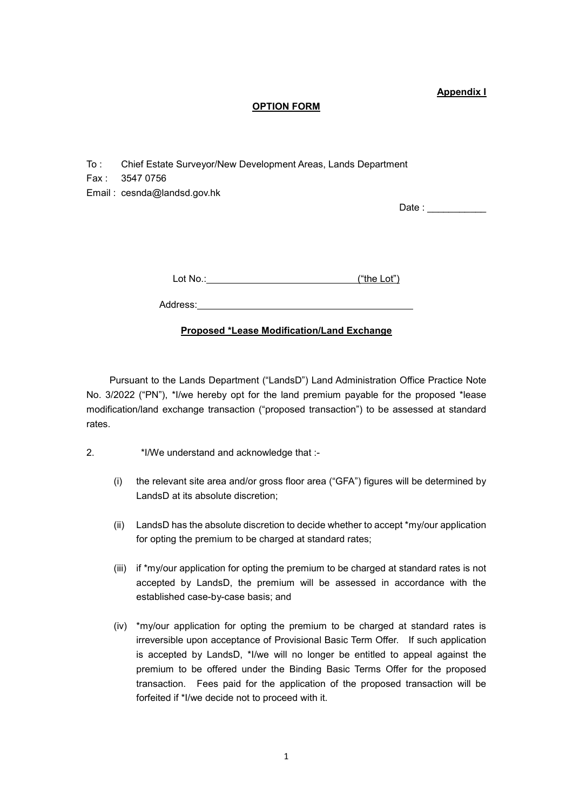**Appendix I**

#### **OPTION FORM**

- To : Chief Estate Surveyor/New Development Areas, Lands Department
- Fax : 3547 0756

Email : cesnda@landsd.gov.hk

Date :

Lot No.: ("the Lot")

#### **Proposed \*Lease Modification/Land Exchange**

Pursuant to the Lands Department ("LandsD") Land Administration Office Practice Note No. 3/2022 ("PN"), \*I/we hereby opt for the land premium payable for the proposed \*lease modification/land exchange transaction ("proposed transaction") to be assessed at standard rates.

- 2. \*I/We understand and acknowledge that :-
	- (i) the relevant site area and/or gross floor area ("GFA") figures will be determined by LandsD at its absolute discretion;
	- (ii) LandsD has the absolute discretion to decide whether to accept \*my/our application for opting the premium to be charged at standard rates;
	- (iii) if \*my/our application for opting the premium to be charged at standard rates is not accepted by LandsD, the premium will be assessed in accordance with the established case-by-case basis; and
	- (iv) \*my/our application for opting the premium to be charged at standard rates is irreversible upon acceptance of Provisional Basic Term Offer. If such application is accepted by LandsD, \*I/we will no longer be entitled to appeal against the premium to be offered under the Binding Basic Terms Offer for the proposed transaction. Fees paid for the application of the proposed transaction will be forfeited if \*I/we decide not to proceed with it.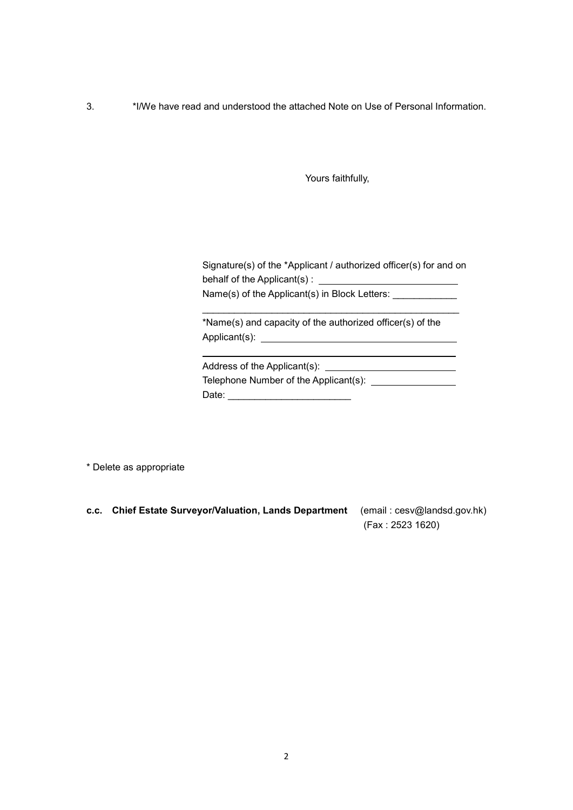3. \*I/We have read and understood the attached Note on Use of Personal Information.

Yours faithfully,

Signature(s) of the \*Applicant / authorized officer(s) for and on behalf of the Applicant(s) : Name(s) of the Applicant(s) in Block Letters: \_\_\_\_\_\_\_\_\_\_\_\_\_\_

\_\_\_\_\_\_\_\_\_\_\_\_\_\_\_\_\_\_\_\_\_\_\_\_\_\_\_\_\_\_\_\_\_\_\_\_\_\_\_\_\_\_\_\_\_\_\_\_

\*Name(s) and capacity of the authorized officer(s) of the Applicant(s):

Address of the Applicant(s): Telephone Number of the Applicant(s): Date:  $\Box$ 

\* Delete as appropriate

**c.c. Chief Estate Surveyor/Valuation, Lands Department** (email : cesv@landsd.gov.hk) (Fax : 2523 1620)